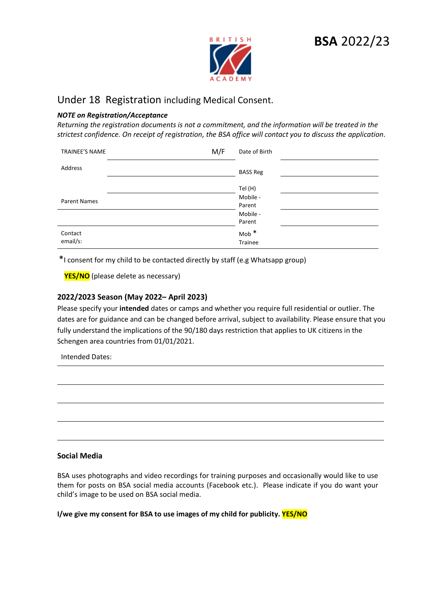

# **BSA** 2022/23

# Under 18 Registration including Medical Consent.

## *NOTE on Registration/Acceptance*

*Returning the registration documents is not a commitment, and the information will be treated in the strictest confidence. On receipt of registration, the BSA office will contact you to discuss the application*.

| TRAINEE'S NAME      | M/F<br>Date of Birth        |
|---------------------|-----------------------------|
| Address             | <b>BASS Reg</b>             |
|                     | Tel (H)                     |
| <b>Parent Names</b> | Mobile -<br>Parent          |
|                     | Mobile -<br>Parent          |
| Contact<br>email/s: | Mob <sup>*</sup><br>Trainee |

\*I consent for my child to be contacted directly by staff (e.g Whatsapp group)

**YES/NO** (please delete as necessary)

# **2022/2023 Season (May 2022– April 2023)**

Please specify your **intended** dates or camps and whether you require full residential or outlier. The dates are for guidance and can be changed before arrival, subject to availability. Please ensure that you fully understand the implications of the 90/180 days restriction that applies to UK citizens in the Schengen area countries from 01/01/2021.

Intended Dates:

#### **Social Media**

BSA uses photographs and video recordings for training purposes and occasionally would like to use them for posts on BSA social media accounts (Facebook etc.). Please indicate if you do want your child's image to be used on BSA social media.

**I/we give my consent for BSA to use images of my child for publicity. YES/NO**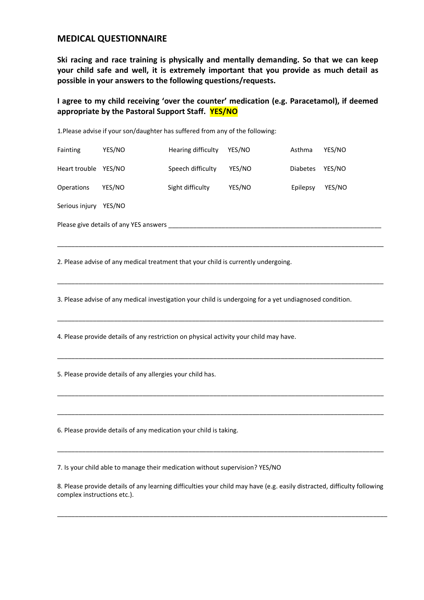# **MEDICAL QUESTIONNAIRE**

**Ski racing and race training is physically and mentally demanding. So that we can keep your child safe and well, it is extremely important that you provide as much detail as possible in your answers to the following questions/requests.**

**I agree to my child receiving 'over the counter' medication (e.g. Paracetamol), if deemed appropriate by the Pastoral Support Staff. YES/NO**

Fainting YES/NO Hearing difficulty YES/NO Asthma YES/NO Heart trouble YES/NO Speech difficulty YES/NO Diabetes YES/NO Operations YES/NO Sight difficulty YES/NO Epilepsy YES/NO Serious injury YES/NO

Please give details of any YES answers \_\_\_\_\_\_\_\_\_\_\_\_\_\_\_\_\_\_\_\_\_\_\_\_\_\_\_\_\_\_\_\_\_\_\_\_\_\_\_\_\_\_\_\_\_\_\_\_\_\_\_\_\_\_\_\_\_\_\_\_

2. Please advise of any medical treatment that your child is currently undergoing.

1.Please advise if your son/daughter has suffered from any of the following:

3. Please advise of any medical investigation your child is undergoing for a yet undiagnosed condition.

\_\_\_\_\_\_\_\_\_\_\_\_\_\_\_\_\_\_\_\_\_\_\_\_\_\_\_\_\_\_\_\_\_\_\_\_\_\_\_\_\_\_\_\_\_\_\_\_\_\_\_\_\_\_\_\_\_\_\_\_\_\_\_\_\_\_\_\_\_\_\_\_\_\_\_\_\_\_\_\_\_\_\_\_\_\_\_\_\_\_\_\_

\_\_\_\_\_\_\_\_\_\_\_\_\_\_\_\_\_\_\_\_\_\_\_\_\_\_\_\_\_\_\_\_\_\_\_\_\_\_\_\_\_\_\_\_\_\_\_\_\_\_\_\_\_\_\_\_\_\_\_\_\_\_\_\_\_\_\_\_\_\_\_\_\_\_\_\_\_\_\_\_\_\_\_\_\_\_\_\_\_\_\_\_

\_\_\_\_\_\_\_\_\_\_\_\_\_\_\_\_\_\_\_\_\_\_\_\_\_\_\_\_\_\_\_\_\_\_\_\_\_\_\_\_\_\_\_\_\_\_\_\_\_\_\_\_\_\_\_\_\_\_\_\_\_\_\_\_\_\_\_\_\_\_\_\_\_\_\_\_\_\_\_\_\_\_\_\_\_\_\_\_\_\_\_\_

\_\_\_\_\_\_\_\_\_\_\_\_\_\_\_\_\_\_\_\_\_\_\_\_\_\_\_\_\_\_\_\_\_\_\_\_\_\_\_\_\_\_\_\_\_\_\_\_\_\_\_\_\_\_\_\_\_\_\_\_\_\_\_\_\_\_\_\_\_\_\_\_\_\_\_\_\_\_\_\_\_\_\_\_\_\_\_\_\_\_\_\_

\_\_\_\_\_\_\_\_\_\_\_\_\_\_\_\_\_\_\_\_\_\_\_\_\_\_\_\_\_\_\_\_\_\_\_\_\_\_\_\_\_\_\_\_\_\_\_\_\_\_\_\_\_\_\_\_\_\_\_\_\_\_\_\_\_\_\_\_\_\_\_\_\_\_\_\_\_\_\_\_\_\_\_\_\_\_\_\_\_\_\_\_

\_\_\_\_\_\_\_\_\_\_\_\_\_\_\_\_\_\_\_\_\_\_\_\_\_\_\_\_\_\_\_\_\_\_\_\_\_\_\_\_\_\_\_\_\_\_\_\_\_\_\_\_\_\_\_\_\_\_\_\_\_\_\_\_\_\_\_\_\_\_\_\_\_\_\_\_\_\_\_\_\_\_\_\_\_\_\_\_\_\_\_\_

\_\_\_\_\_\_\_\_\_\_\_\_\_\_\_\_\_\_\_\_\_\_\_\_\_\_\_\_\_\_\_\_\_\_\_\_\_\_\_\_\_\_\_\_\_\_\_\_\_\_\_\_\_\_\_\_\_\_\_\_\_\_\_\_\_\_\_\_\_\_\_\_\_\_\_\_\_\_\_\_\_\_\_\_\_\_\_\_\_\_\_\_

4. Please provide details of any restriction on physical activity your child may have.

5. Please provide details of any allergies your child has.

6. Please provide details of any medication your child is taking.

7. Is your child able to manage their medication without supervision? YES/NO

8. Please provide details of any learning difficulties your child may have (e.g. easily distracted, difficulty following complex instructions etc.).

\_\_\_\_\_\_\_\_\_\_\_\_\_\_\_\_\_\_\_\_\_\_\_\_\_\_\_\_\_\_\_\_\_\_\_\_\_\_\_\_\_\_\_\_\_\_\_\_\_\_\_\_\_\_\_\_\_\_\_\_\_\_\_\_\_\_\_\_\_\_\_\_\_\_\_\_\_\_\_\_\_\_\_\_\_\_\_\_\_\_\_\_\_